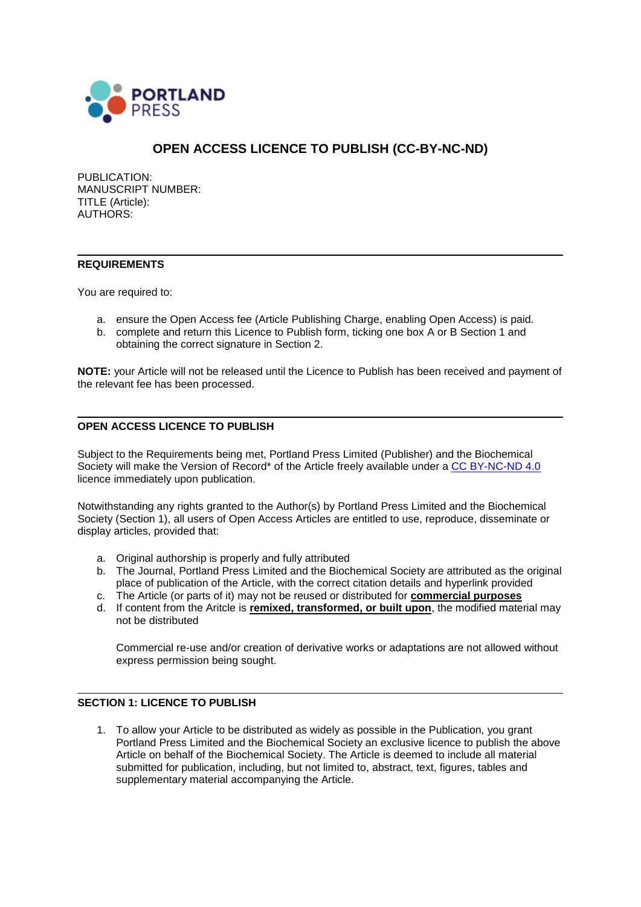

# **OPEN ACCESS LICENCE TO PUBLISH (CC-BY-NC-ND)**

PUBLICATION: MANUSCRIPT NUMBER: TITLE (Article): AUTHORS:

### **REQUIREMENTS**

You are required to:

- a. ensure the Open Access fee (Article Publishing Charge, enabling Open Access) is paid.
- b. complete and return this Licence to Publish form, ticking one box A or B Section 1 and obtaining the correct signature in Section 2.

**NOTE:** your Article will not be released until the Licence to Publish has been received and payment of the relevant fee has been processed.

### **OPEN ACCESS LICENCE TO PUBLISH**

Subject to the Requirements being met, Portland Press Limited (Publisher) and the Biochemical Society will make the Version of Record<sup>\*</sup> of the Article freely available under a [CC BY-NC-ND 4.0](https://creativecommons.org/licenses/by-nc-nd/4.0/legalcode) licence immediately upon publication.

Notwithstanding any rights granted to the Author(s) by Portland Press Limited and the Biochemical Society (Section 1), all users of Open Access Articles are entitled to use, reproduce, disseminate or display articles, provided that:

- a. Original authorship is properly and fully attributed
- b. The Journal, Portland Press Limited and the Biochemical Society are attributed as the original place of publication of the Article, with the correct citation details and hyperlink provided
- c. The Article (or parts of it) may not be reused or distributed for **commercial purposes**
- d. If content from the Aritcle is **remixed, transformed, or built upon**, the modified material may not be distributed

Commercial re-use and/or creation of derivative works or adaptations are not allowed without express permission being sought.

## **SECTION 1: LICENCE TO PUBLISH**

1. To allow your Article to be distributed as widely as possible in the Publication, you grant Portland Press Limited and the Biochemical Society an exclusive licence to publish the above Article on behalf of the Biochemical Society. The Article is deemed to include all material submitted for publication, including, but not limited to, abstract, text, figures, tables and supplementary material accompanying the Article.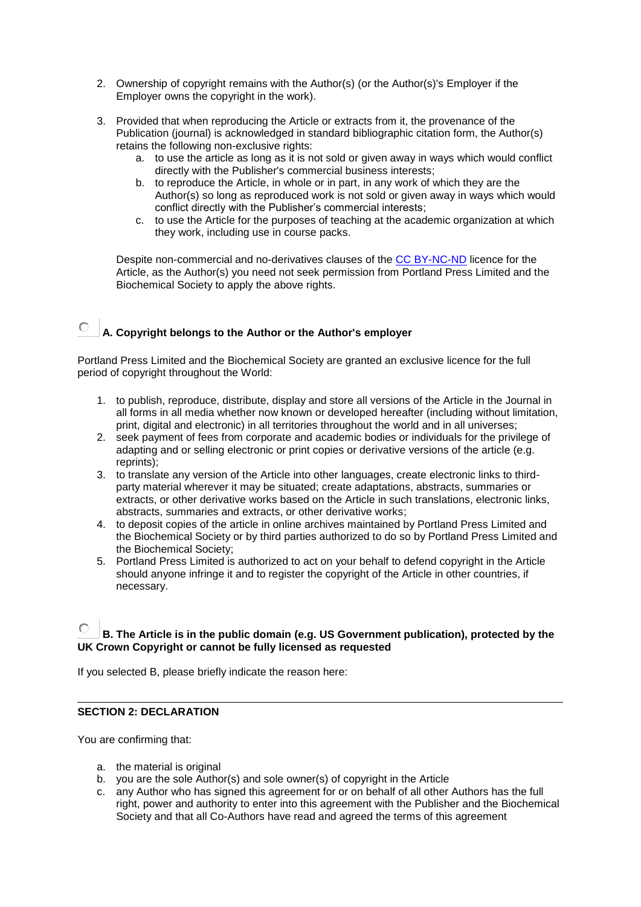- 2. Ownership of copyright remains with the Author(s) (or the Author(s)'s Employer if the Employer owns the copyright in the work).
- 3. Provided that when reproducing the Article or extracts from it, the provenance of the Publication (journal) is acknowledged in standard bibliographic citation form, the Author(s) retains the following non-exclusive rights:
	- a. to use the article as long as it is not sold or given away in ways which would conflict directly with the Publisher's commercial business interests;
	- b. to reproduce the Article, in whole or in part, in any work of which they are the Author(s) so long as reproduced work is not sold or given away in ways which would conflict directly with the Publisher's commercial interests;
	- c. to use the Article for the purposes of teaching at the academic organization at which they work, including use in course packs.

Despite non-commercial and no-derivatives clauses of the [CC BY-NC-ND](https://creativecommons.org/licenses/by-nc-nd/4.0/legalcode) licence for the Article, as the Author(s) you need not seek permission from Portland Press Limited and the Biochemical Society to apply the above rights.

#### $\bigcap$ **A. Copyright belongs to the Author or the Author's employer**

Portland Press Limited and the Biochemical Society are granted an exclusive licence for the full period of copyright throughout the World:

- 1. to publish, reproduce, distribute, display and store all versions of the Article in the Journal in all forms in all media whether now known or developed hereafter (including without limitation, print, digital and electronic) in all territories throughout the world and in all universes;
- 2. seek payment of fees from corporate and academic bodies or individuals for the privilege of adapting and or selling electronic or print copies or derivative versions of the article (e.g. reprints);
- 3. to translate any version of the Article into other languages, create electronic links to thirdparty material wherever it may be situated; create adaptations, abstracts, summaries or extracts, or other derivative works based on the Article in such translations, electronic links, abstracts, summaries and extracts, or other derivative works;
- 4. to deposit copies of the article in online archives maintained by Portland Press Limited and the Biochemical Society or by third parties authorized to do so by Portland Press Limited and the Biochemical Society;
- 5. Portland Press Limited is authorized to act on your behalf to defend copyright in the Article should anyone infringe it and to register the copyright of the Article in other countries, if necessary.

# **B. The Article is in the public domain (e.g. US Government publication), protected by the UK Crown Copyright or cannot be fully licensed as requested**

If you selected B, please briefly indicate the reason here:

# **SECTION 2: DECLARATION**

You are confirming that:

- a. the material is original
- b. you are the sole Author(s) and sole owner(s) of copyright in the Article
- c. any Author who has signed this agreement for or on behalf of all other Authors has the full right, power and authority to enter into this agreement with the Publisher and the Biochemical Society and that all Co-Authors have read and agreed the terms of this agreement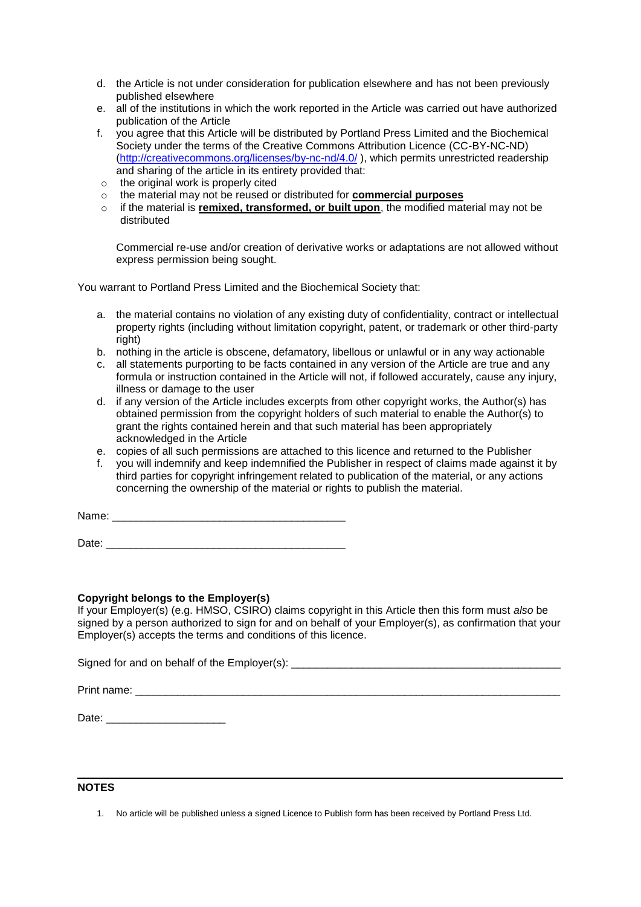- d. the Article is not under consideration for publication elsewhere and has not been previously published elsewhere
- e. all of the institutions in which the work reported in the Article was carried out have authorized publication of the Article
- f. you agree that this Article will be distributed by Portland Press Limited and the Biochemical Society under the terms of the Creative Commons Attribution Licence (CC-BY-NC-ND) [\(http://creativecommons.org/licenses/by-nc-nd/4.0/](http://creativecommons.org/licenses/by-nc-nd/4.0/) ), which permits unrestricted readership and sharing of the article in its entirety provided that:
- o the original work is properly cited
- o the material may not be reused or distributed for **commercial purposes**
- o if the material is **remixed, transformed, or built upon**, the modified material may not be distributed

Commercial re-use and/or creation of derivative works or adaptations are not allowed without express permission being sought.

You warrant to Portland Press Limited and the Biochemical Society that:

- a. the material contains no violation of any existing duty of confidentiality, contract or intellectual property rights (including without limitation copyright, patent, or trademark or other third-party right)
- b. nothing in the article is obscene, defamatory, libellous or unlawful or in any way actionable
- c. all statements purporting to be facts contained in any version of the Article are true and any formula or instruction contained in the Article will not, if followed accurately, cause any injury, illness or damage to the user
- d. if any version of the Article includes excerpts from other copyright works, the Author(s) has obtained permission from the copyright holders of such material to enable the Author(s) to grant the rights contained herein and that such material has been appropriately acknowledged in the Article
- e. copies of all such permissions are attached to this licence and returned to the Publisher
- f. you will indemnify and keep indemnified the Publisher in respect of claims made against it by third parties for copyright infringement related to publication of the material, or any actions concerning the ownership of the material or rights to publish the material.

Name:

 $Date:$ 

## **Copyright belongs to the Employer(s)**

If your Employer(s) (e.g. HMSO, CSIRO) claims copyright in this Article then this form must *also* be signed by a person authorized to sign for and on behalf of your Employer(s), as confirmation that your Employer(s) accepts the terms and conditions of this licence.

Signed for and on behalf of the Employer(s): \_\_\_\_\_\_\_\_\_\_\_\_\_\_\_\_\_\_\_\_\_\_\_\_\_\_\_\_\_\_\_\_\_\_\_

Print name:

Date: \_\_\_\_\_\_\_\_\_\_\_\_\_\_\_\_\_\_\_\_

### **NOTES**

1. No article will be published unless a signed Licence to Publish form has been received by Portland Press Ltd.